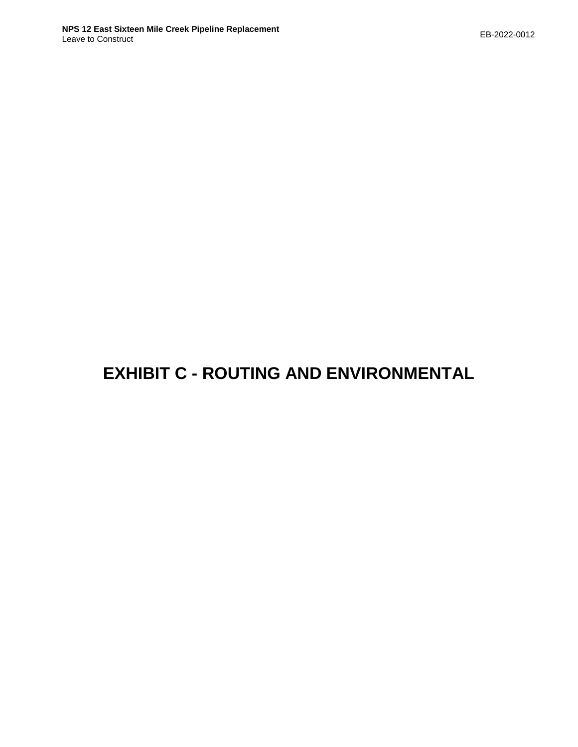# **EXHIBIT C - ROUTING AND ENVIRONMENTAL**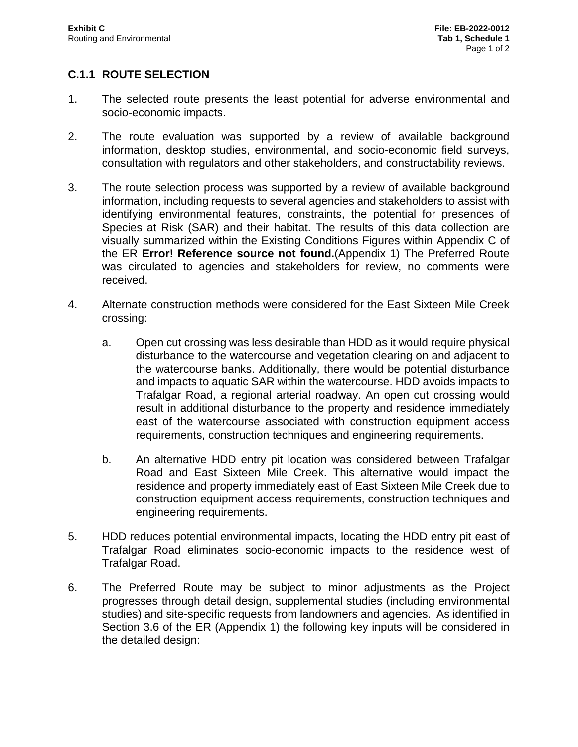## **C.1.1 ROUTE SELECTION**

- 1. The selected route presents the least potential for adverse environmental and socio-economic impacts.
- 2. The route evaluation was supported by a review of available background information, desktop studies, environmental, and socio-economic field surveys, consultation with regulators and other stakeholders, and constructability reviews.
- 3. The route selection process was supported by a review of available background information, including requests to several agencies and stakeholders to assist with identifying environmental features, constraints, the potential for presences of Species at Risk (SAR) and their habitat. The results of this data collection are visually summarized within the Existing Conditions Figures within Appendix C of the ER **Error! Reference source not found.**(Appendix 1) The Preferred Route was circulated to agencies and stakeholders for review, no comments were received.
- 4. Alternate construction methods were considered for the East Sixteen Mile Creek crossing:
	- a. Open cut crossing was less desirable than HDD as it would require physical disturbance to the watercourse and vegetation clearing on and adjacent to the watercourse banks. Additionally, there would be potential disturbance and impacts to aquatic SAR within the watercourse. HDD avoids impacts to Trafalgar Road, a regional arterial roadway. An open cut crossing would result in additional disturbance to the property and residence immediately east of the watercourse associated with construction equipment access requirements, construction techniques and engineering requirements.
	- b. An alternative HDD entry pit location was considered between Trafalgar Road and East Sixteen Mile Creek. This alternative would impact the residence and property immediately east of East Sixteen Mile Creek due to construction equipment access requirements, construction techniques and engineering requirements.
- 5. HDD reduces potential environmental impacts, locating the HDD entry pit east of Trafalgar Road eliminates socio-economic impacts to the residence west of Trafalgar Road.
- 6. The Preferred Route may be subject to minor adjustments as the Project progresses through detail design, supplemental studies (including environmental studies) and site-specific requests from landowners and agencies. As identified in Section 3.6 of the ER (Appendix 1) the following key inputs will be considered in the detailed design: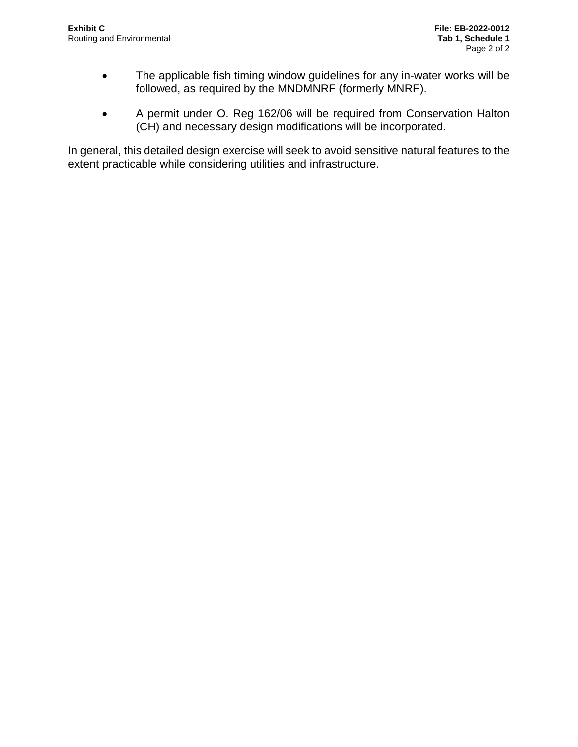- The applicable fish timing window guidelines for any in-water works will be followed, as required by the MNDMNRF (formerly MNRF).
- A permit under O. Reg 162/06 will be required from Conservation Halton (CH) and necessary design modifications will be incorporated.

In general, this detailed design exercise will seek to avoid sensitive natural features to the extent practicable while considering utilities and infrastructure.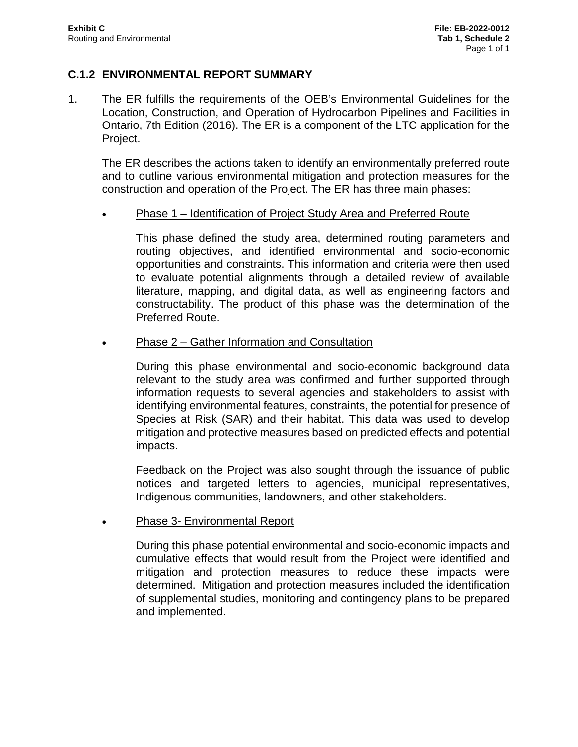#### **C.1.2 ENVIRONMENTAL REPORT SUMMARY**

1. The ER fulfills the requirements of the OEB's Environmental Guidelines for the Location, Construction, and Operation of Hydrocarbon Pipelines and Facilities in Ontario, 7th Edition (2016). The ER is a component of the LTC application for the Project.

The ER describes the actions taken to identify an environmentally preferred route and to outline various environmental mitigation and protection measures for the construction and operation of the Project. The ER has three main phases:

Phase 1 – Identification of Project Study Area and Preferred Route

This phase defined the study area, determined routing parameters and routing objectives, and identified environmental and socio-economic opportunities and constraints. This information and criteria were then used to evaluate potential alignments through a detailed review of available literature, mapping, and digital data, as well as engineering factors and constructability. The product of this phase was the determination of the Preferred Route.

Phase 2 – Gather Information and Consultation

During this phase environmental and socio-economic background data relevant to the study area was confirmed and further supported through information requests to several agencies and stakeholders to assist with identifying environmental features, constraints, the potential for presence of Species at Risk (SAR) and their habitat. This data was used to develop mitigation and protective measures based on predicted effects and potential impacts.

Feedback on the Project was also sought through the issuance of public notices and targeted letters to agencies, municipal representatives, Indigenous communities, landowners, and other stakeholders.

Phase 3- Environmental Report

During this phase potential environmental and socio-economic impacts and cumulative effects that would result from the Project were identified and mitigation and protection measures to reduce these impacts were determined. Mitigation and protection measures included the identification of supplemental studies, monitoring and contingency plans to be prepared and implemented.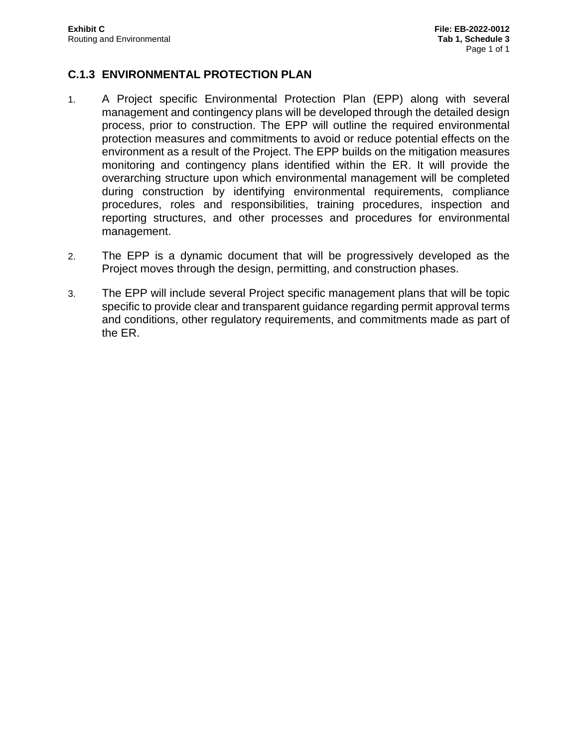#### **C.1.3 ENVIRONMENTAL PROTECTION PLAN**

- 1. A Project specific Environmental Protection Plan (EPP) along with several management and contingency plans will be developed through the detailed design process, prior to construction. The EPP will outline the required environmental protection measures and commitments to avoid or reduce potential effects on the environment as a result of the Project. The EPP builds on the mitigation measures monitoring and contingency plans identified within the ER. It will provide the overarching structure upon which environmental management will be completed during construction by identifying environmental requirements, compliance procedures, roles and responsibilities, training procedures, inspection and reporting structures, and other processes and procedures for environmental management.
- 2. The EPP is a dynamic document that will be progressively developed as the Project moves through the design, permitting, and construction phases.
- 3. The EPP will include several Project specific management plans that will be topic specific to provide clear and transparent guidance regarding permit approval terms and conditions, other regulatory requirements, and commitments made as part of the ER.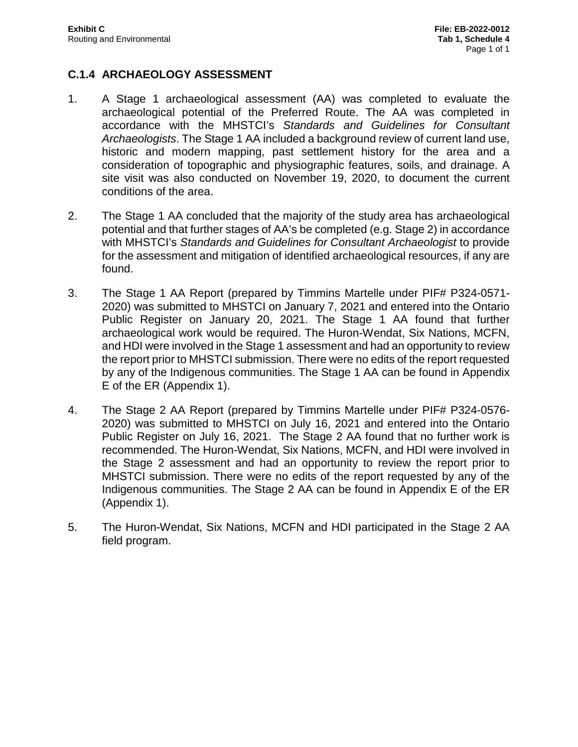### **C.1.4 ARCHAEOLOGY ASSESSMENT**

- 1. A Stage 1 archaeological assessment (AA) was completed to evaluate the archaeological potential of the Preferred Route. The AA was completed in accordance with the MHSTCI's *Standards and Guidelines for Consultant Archaeologists*. The Stage 1 AA included a background review of current land use, historic and modern mapping, past settlement history for the area and a consideration of topographic and physiographic features, soils, and drainage. A site visit was also conducted on November 19, 2020, to document the current conditions of the area.
- 2. The Stage 1 AA concluded that the majority of the study area has archaeological potential and that further stages of AA's be completed (e.g. Stage 2) in accordance with MHSTCI's *Standards and Guidelines for Consultant Archaeologist* to provide for the assessment and mitigation of identified archaeological resources, if any are found.
- 3. The Stage 1 AA Report (prepared by Timmins Martelle under PIF# P324-0571- 2020) was submitted to MHSTCI on January 7, 2021 and entered into the Ontario Public Register on January 20, 2021. The Stage 1 AA found that further archaeological work would be required. The Huron-Wendat, Six Nations, MCFN, and HDI were involved in the Stage 1 assessment and had an opportunity to review the report prior to MHSTCI submission. There were no edits of the report requested by any of the Indigenous communities. The Stage 1 AA can be found in Appendix E of the ER (Appendix 1).
- 4. The Stage 2 AA Report (prepared by Timmins Martelle under PIF# P324-0576- 2020) was submitted to MHSTCI on July 16, 2021 and entered into the Ontario Public Register on July 16, 2021. The Stage 2 AA found that no further work is recommended. The Huron-Wendat, Six Nations, MCFN, and HDI were involved in the Stage 2 assessment and had an opportunity to review the report prior to MHSTCI submission. There were no edits of the report requested by any of the Indigenous communities. The Stage 2 AA can be found in Appendix E of the ER (Appendix 1).
- 5. The Huron-Wendat, Six Nations, MCFN and HDI participated in the Stage 2 AA field program.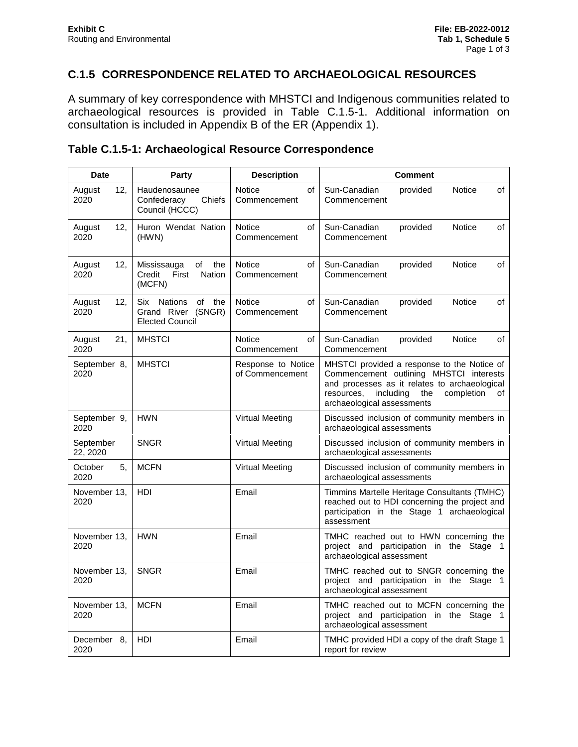# **C.1.5 CORRESPONDENCE RELATED TO ARCHAEOLOGICAL RESOURCES**

A summary of key correspondence with MHSTCI and Indigenous communities related to archaeological resources is provided in Table C.1.5-1. Additional information on consultation is included in Appendix B of the ER (Appendix 1).

#### **Table C.1.5-1: Archaeological Resource Correspondence**

| <b>Date</b>           | <b>Party</b>                                                                       | <b>Description</b>                    | <b>Comment</b>                                                                                                                                                                                                              |
|-----------------------|------------------------------------------------------------------------------------|---------------------------------------|-----------------------------------------------------------------------------------------------------------------------------------------------------------------------------------------------------------------------------|
| 12,<br>August<br>2020 | Haudenosaunee<br>Chiefs<br>Confederacy<br>Council (HCCC)                           | Notice<br>οf<br>Commencement          | Sun-Canadian<br>provided<br>Notice<br>of<br>Commencement                                                                                                                                                                    |
| 12,<br>August<br>2020 | Huron Wendat Nation<br>(HWN)                                                       | Notice<br>οf<br>Commencement          | Sun-Canadian<br>Notice<br>of<br>provided<br>Commencement                                                                                                                                                                    |
| 12,<br>August<br>2020 | of<br>Mississauga<br>the<br>Credit<br>First<br>Nation<br>(MCFN)                    | <b>Notice</b><br>of<br>Commencement   | Sun-Canadian<br>provided<br>Notice<br>of<br>Commencement                                                                                                                                                                    |
| 12.<br>August<br>2020 | Nations<br>of<br><b>Six</b><br>the<br>Grand River (SNGR)<br><b>Elected Council</b> | <b>Notice</b><br>of<br>Commencement   | Sun-Canadian<br><b>Notice</b><br>οf<br>provided<br>Commencement                                                                                                                                                             |
| 21,<br>August<br>2020 | <b>MHSTCI</b>                                                                      | Notice<br>οf<br>Commencement          | Sun-Canadian<br>Notice<br>οf<br>provided<br>Commencement                                                                                                                                                                    |
| September 8,<br>2020  | <b>MHSTCI</b>                                                                      | Response to Notice<br>of Commencement | MHSTCI provided a response to the Notice of<br>Commencement outlining MHSTCI interests<br>and processes as it relates to archaeological<br>resources.<br>including<br>the<br>completion<br>of<br>archaeological assessments |
| September 9,<br>2020  | <b>HWN</b>                                                                         | <b>Virtual Meeting</b>                | Discussed inclusion of community members in<br>archaeological assessments                                                                                                                                                   |
| September<br>22, 2020 | <b>SNGR</b>                                                                        | Virtual Meeting                       | Discussed inclusion of community members in<br>archaeological assessments                                                                                                                                                   |
| October<br>5.<br>2020 | <b>MCFN</b>                                                                        | <b>Virtual Meeting</b>                | Discussed inclusion of community members in<br>archaeological assessments                                                                                                                                                   |
| November 13,<br>2020  | HDI                                                                                | Email                                 | Timmins Martelle Heritage Consultants (TMHC)<br>reached out to HDI concerning the project and<br>participation in the Stage 1 archaeological<br>assessment                                                                  |
| November 13,<br>2020  | <b>HWN</b>                                                                         | Email                                 | TMHC reached out to HWN concerning the<br>project and participation in the Stage 1<br>archaeological assessment                                                                                                             |
| November 13,<br>2020  | <b>SNGR</b>                                                                        | Email                                 | TMHC reached out to SNGR concerning the<br>project and participation in the Stage 1<br>archaeological assessment                                                                                                            |
| November 13,<br>2020  | <b>MCFN</b>                                                                        | Email                                 | TMHC reached out to MCFN concerning the<br>project and participation in the Stage 1<br>archaeological assessment                                                                                                            |
| December 8,<br>2020   | HDI                                                                                | Email                                 | TMHC provided HDI a copy of the draft Stage 1<br>report for review                                                                                                                                                          |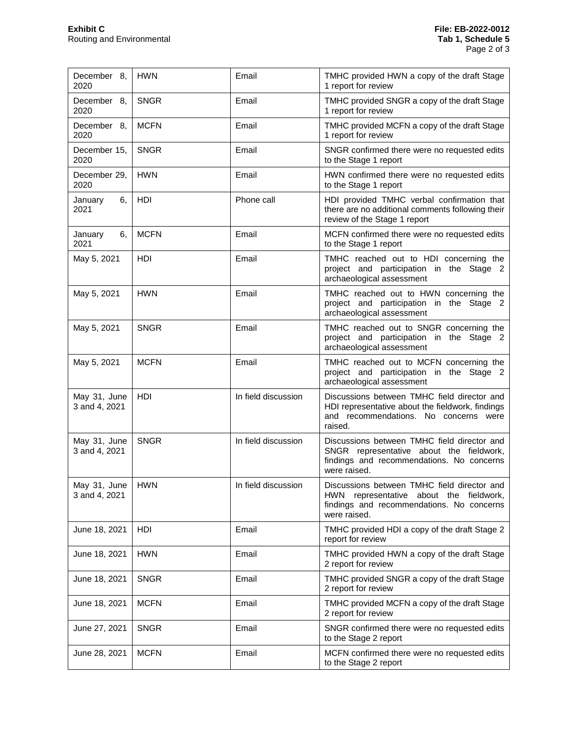| December 8,<br>2020           | <b>HWN</b>  | Email               | TMHC provided HWN a copy of the draft Stage<br>1 report for review                                                                                   |
|-------------------------------|-------------|---------------------|------------------------------------------------------------------------------------------------------------------------------------------------------|
| December 8,<br>2020           | <b>SNGR</b> | Email               | TMHC provided SNGR a copy of the draft Stage<br>1 report for review                                                                                  |
| December 8,<br>2020           | <b>MCFN</b> | Email               | TMHC provided MCFN a copy of the draft Stage<br>1 report for review                                                                                  |
| December 15,<br>2020          | <b>SNGR</b> | Email               | SNGR confirmed there were no requested edits<br>to the Stage 1 report                                                                                |
| December 29,<br>2020          | <b>HWN</b>  | Email               | HWN confirmed there were no requested edits<br>to the Stage 1 report                                                                                 |
| January<br>6.<br>2021         | HDI         | Phone call          | HDI provided TMHC verbal confirmation that<br>there are no additional comments following their<br>review of the Stage 1 report                       |
| 6.<br>January<br>2021         | <b>MCFN</b> | Email               | MCFN confirmed there were no requested edits<br>to the Stage 1 report                                                                                |
| May 5, 2021                   | HDI         | Email               | TMHC reached out to HDI concerning the<br>project and participation in the Stage 2<br>archaeological assessment                                      |
| May 5, 2021                   | <b>HWN</b>  | Email               | TMHC reached out to HWN concerning the<br>project and participation in the Stage 2<br>archaeological assessment                                      |
| May 5, 2021                   | <b>SNGR</b> | Email               | TMHC reached out to SNGR concerning the<br>project and participation in the Stage 2<br>archaeological assessment                                     |
| May 5, 2021                   | <b>MCFN</b> | Email               | TMHC reached out to MCFN concerning the<br>project and participation in the Stage 2<br>archaeological assessment                                     |
| May 31, June<br>3 and 4, 2021 | <b>HDI</b>  | In field discussion | Discussions between TMHC field director and<br>HDI representative about the fieldwork, findings<br>and recommendations. No concerns were<br>raised.  |
| May 31, June<br>3 and 4, 2021 | <b>SNGR</b> | In field discussion | Discussions between TMHC field director and<br>SNGR representative about the fieldwork,<br>findings and recommendations. No concerns<br>were raised. |
| May 31, June<br>3 and 4, 2021 | <b>HWN</b>  | In field discussion | Discussions between TMHC field director and<br>HWN representative about the fieldwork,<br>findings and recommendations. No concerns<br>were raised.  |
| June 18, 2021                 | HDI         | Email               | TMHC provided HDI a copy of the draft Stage 2<br>report for review                                                                                   |
| June 18, 2021                 | <b>HWN</b>  | Email               | TMHC provided HWN a copy of the draft Stage<br>2 report for review                                                                                   |
| June 18, 2021                 | <b>SNGR</b> | Email               | TMHC provided SNGR a copy of the draft Stage<br>2 report for review                                                                                  |
| June 18, 2021                 | <b>MCFN</b> | Email               | TMHC provided MCFN a copy of the draft Stage<br>2 report for review                                                                                  |
| June 27, 2021                 | <b>SNGR</b> | Email               | SNGR confirmed there were no requested edits<br>to the Stage 2 report                                                                                |
| June 28, 2021                 | <b>MCFN</b> | Email               | MCFN confirmed there were no requested edits<br>to the Stage 2 report                                                                                |